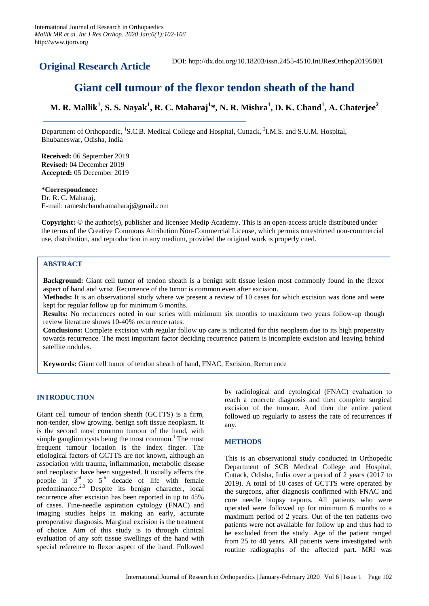**Original Research Article** DOI: http://dx.doi.org/10.18203/issn.2455-4510.IntJResOrthop20195801

# **Giant cell tumour of the flexor tendon sheath of the hand**

**M. R. Mallik<sup>1</sup> , S. S. Nayak<sup>1</sup> , R. C. Maharaj<sup>1</sup> \*, N. R. Mishra<sup>1</sup> , D. K. Chand<sup>1</sup> , A. Chaterjee<sup>2</sup>**

Department of Orthopaedic, <sup>1</sup>S.C.B. Medical College and Hospital, Cuttack, <sup>2</sup>I.M.S. and S.U.M. Hospital, Bhubaneswar, Odisha, India

**Received:** 06 September 2019 **Revised:** 04 December 2019 **Accepted:** 05 December 2019

## **\*Correspondence:**

Dr. R. C. Maharaj, E-mail: rameshchandramaharaj@gmail.com

**Copyright:** © the author(s), publisher and licensee Medip Academy. This is an open-access article distributed under the terms of the Creative Commons Attribution Non-Commercial License, which permits unrestricted non-commercial use, distribution, and reproduction in any medium, provided the original work is properly cited.

## **ABSTRACT**

**Background:** Giant cell tumor of tendon sheath is a benign soft tissue lesion most commonly found in the flexor aspect of hand and wrist. Recurrence of the tumor is common even after excision.

**Methods:** It is an observational study where we present a review of 10 cases for which excision was done and were kept for regular follow up for minimum 6 months.

**Results:** No recurrences noted in our series with minimum six months to maximum two years follow-up though review literature shows 10-40% recurrence rates.

**Conclusions:** Complete excision with regular follow up care is indicated for this neoplasm due to its high propensity towards recurrence. The most important factor deciding recurrence pattern is incomplete excision and leaving behind satellite nodules.

**Keywords:** Giant cell tumor of tendon sheath of hand, FNAC, Excision, Recurrence

## **INTRODUCTION**

Giant cell tumour of tendon sheath (GCTTS) is a firm, non-tender, slow growing, benign soft tissue neoplasm. It is the second most common tumour of the hand, with simple ganglion cysts being the most common.<sup>1</sup> The most frequent tumour location is the index finger. The etiological factors of GCTTS are not known, although an association with trauma, inflammation, metabolic disease and neoplastic have been suggested. It usually affects the people in  $3<sup>rd</sup>$  to  $5<sup>th</sup>$  decade of life with female predominance.<sup>2,3</sup> Despite its benign character, local recurrence after excision has been reported in up to 45% of cases. Fine-needle aspiration cytology (FNAC) and imaging studies helps in making an early, accurate preoperative diagnosis. Marginal excision is the treatment of choice. Aim of this study is to through clinical evaluation of any soft tissue swellings of the hand with special reference to flexor aspect of the hand. Followed by radiological and cytological (FNAC) evaluation to reach a concrete diagnosis and then complete surgical excision of the tumour. And then the entire patient followed up regularly to assess the rate of recurrences if any.

## **METHODS**

This is an observational study conducted in Orthopedic Department of SCB Medical College and Hospital, Cuttack, Odisha, India over a period of 2 years (2017 to 2019). A total of 10 cases of GCTTS were operated by the surgeons, after diagnosis confirmed with FNAC and core needle biopsy reports. All patients who were operated were followed up for minimum 6 months to a maximum period of 2 years. Out of the ten patients two patients were not available for follow up and thus had to be excluded from the study. Age of the patient ranged from 25 to 40 years. All patients were investigated with routine radiographs of the affected part. MRI was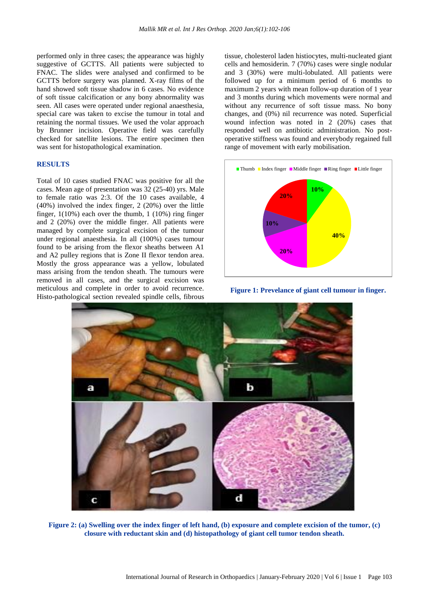performed only in three cases; the appearance was highly suggestive of GCTTS. All patients were subjected to FNAC. The slides were analysed and confirmed to be GCTTS before surgery was planned. X-ray films of the hand showed soft tissue shadow in 6 cases. No evidence of soft tissue calcification or any bony abnormality was seen. All cases were operated under regional anaesthesia, special care was taken to excise the tumour in total and retaining the normal tissues. We used the volar approach by Brunner incision. Operative field was carefully checked for satellite lesions. The entire specimen then was sent for histopathological examination.

#### **RESULTS**

Total of 10 cases studied FNAC was positive for all the cases. Mean age of presentation was 32 (25-40) yrs. Male to female ratio was 2:3. Of the 10 cases available, 4 (40%) involved the index finger, 2 (20%) over the little finger,  $1(10\%)$  each over the thumb, 1  $(10\%)$  ring finger and 2 (20%) over the middle finger. All patients were managed by complete surgical excision of the tumour under regional anaesthesia. In all (100%) cases tumour found to be arising from the flexor sheaths between A1 and A2 pulley regions that is Zone II flexor tendon area. Mostly the gross appearance was a yellow, lobulated mass arising from the tendon sheath. The tumours were removed in all cases, and the surgical excision was meticulous and complete in order to avoid recurrence. Histo-pathological section revealed spindle cells, fibrous tissue, cholesterol laden histiocytes, multi-nucleated giant cells and hemosiderin. 7 (70%) cases were single nodular and 3 (30%) were multi-lobulated. All patients were followed up for a minimum period of 6 months to maximum 2 years with mean follow-up duration of 1 year and 3 months during which movements were normal and without any recurrence of soft tissue mass. No bony changes, and (0%) nil recurrence was noted. Superficial wound infection was noted in 2 (20%) cases that responded well on antibiotic administration. No postoperative stiffness was found and everybody regained full range of movement with early mobilisation.



**Figure 1: Prevelance of giant cell tumour in finger.**



**Figure 2: (a) Swelling over the index finger of left hand, (b) exposure and complete excision of the tumor, (c) closure with reductant skin and (d) histopathology of giant cell tumor tendon sheath.**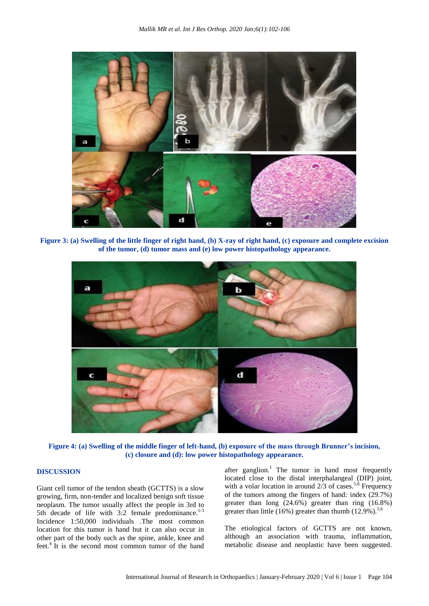

**Figure 3: (a) Swelling of the little finger of right hand, (b) X-ray of right hand, (c) exposure and complete excision of the tumor, (d) tumor mass and (e) low power histopathology appearance.**



**Figure 4: (a) Swelling of the middle finger of left-hand, (b) exposure of the mass through Brunner's incision, (c) closure and (d): low power histopathology appearance.**

## **DISCUSSION**

Giant cell tumor of the tendon sheath (GCTTS) is a slow growing, firm, non-tender and localized benign soft tissue neoplasm. The tumor usually affect the people in 3rd to 5th decade of life with  $3:2$  female predominance.<sup>1-3</sup> Incidence 1:50,000 individuals .The most common location for this tumor is hand but it can also occur in other part of the body such as the spine, ankle, knee and feet.<sup>4</sup> It is the second most common tumor of the hand

after ganglion.<sup>1</sup> The tumor in hand most frequently located close to the distal interphalangeal (DIP) joint, with a volar location in around  $2/3$  of cases.<sup>5,6</sup> Frequency of the tumors among the fingers of hand: index (29.7%) greater than long (24.6%) greater than ring (16.8%) greater than little (16%) greater than thumb  $(12.9\%)$ .<sup>5,6</sup>

The etiological factors of GCTTS are not known, although an association with trauma, inflammation, metabolic disease and neoplastic have been suggested.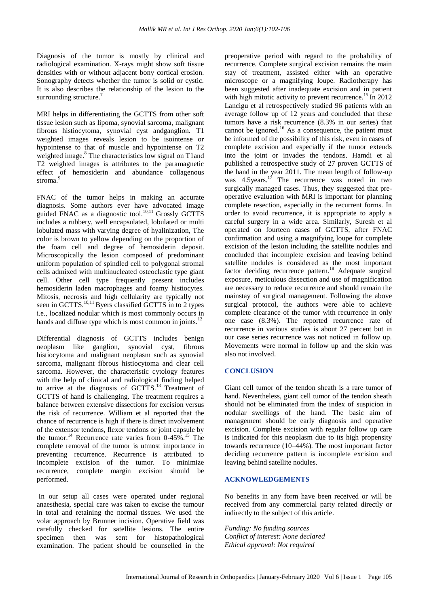Diagnosis of the tumor is mostly by clinical and radiological examination. X-rays might show soft tissue densities with or without adjacent bony cortical erosion. Sonography detects whether the tumor is solid or cystic. It is also describes the relationship of the lesion to the surrounding structure.<sup>7</sup>

MRI helps in differentiating the GCTTS from other soft tissue lesion such as lipoma, synovial sarcoma, malignant fibrous histiocytoma, synovial cyst andganglion. T1 weighted images reveals lesion to be isointense or hypointense to that of muscle and hypointense on T2 weighted image.<sup>8</sup> The characteristics low signal on T1and T2 weighted images is attributes to the paramagnetic effect of hemosiderin and abundance collagenous stroma<sup>9</sup>

FNAC of the tumor helps in making an accurate diagnosis. Some authors ever have advocated image guided FNAC as a diagnostic tool.<sup>10,11</sup> Grossly GCTTS includes a rubbery, well encapsulated, lobulated or multi lobulated mass with varying degree of hyalinization, The color is brown to yellow depending on the proportion of the foam cell and degree of hemosiderin deposit. Microscopically the lesion composed of predominant uniform population of spindled cell to polygonal stromal cells admixed with multinucleated osteoclastic type giant cell. Other cell type frequently present includes hemosiderin laden macrophages and foamy histiocytes. Mitosis, necrosis and high cellularity are typically not seen in GCTTS. $^{10,11}$  Byers classified GCTTS in to 2 types i.e., localized nodular which is most commonly occurs in hands and diffuse type which is most common in joints.<sup>12</sup>

Differential diagnosis of GCTTS includes benign neoplasm like ganglion, synovial cyst, fibrous histiocytoma and malignant neoplasm such as synovial sarcoma, malignant fibrous histiocytoma and clear cell sarcoma. However, the characteristic cytology features with the help of clinical and radiological finding helped to arrive at the diagnosis of GCTTS.<sup>13</sup> Treatment of GCTTS of hand is challenging. The treatment requires a balance between extensive dissections for excision versus the risk of recurrence. William et al reported that the chance of recurrence is high if there is direct involvement of the extensor tendons, flexor tendons or joint capsule by the tumor.<sup>14</sup> Recurrence rate varies from  $0-45\%$ .<sup>15</sup> The complete removal of the tumor is utmost importance in preventing recurrence. Recurrence is attributed to incomplete excision of the tumor. To minimize recurrence, complete margin excision should be performed.

In our setup all cases were operated under regional anaesthesia, special care was taken to excise the tumour in total and retaining the normal tissues. We used the volar approach by Brunner incision. Operative field was carefully checked for satellite lesions. The entire specimen then was sent for histopathological examination. The patient should be counselled in the

preoperative period with regard to the probability of recurrence. Complete surgical excision remains the main stay of treatment, assisted either with an operative microscope or a magnifying loupe. Radiotherapy has been suggested after inadequate excision and in patient with high mitotic activity to prevent recurrence.<sup>15</sup> In 2012 Lancigu et al retrospectively studied 96 patients with an average follow up of 12 years and concluded that these tumors have a risk recurrence (8.3% in our series) that cannot be ignored.<sup>16</sup> As a consequence, the patient must be informed of the possibility of this risk, even in cases of complete excision and especially if the tumor extends into the joint or invades the tendons. Hamdi et al published a retrospective study of 27 proven GCTTS of the hand in the year 2011. The mean length of follow-up was  $4.5$ years.<sup>17</sup> The recurrence was noted in two surgically managed cases. Thus, they suggested that preoperative evaluation with MRI is important for planning complete resection, especially in the recurrent forms. In order to avoid recurrence, it is appropriate to apply a careful surgery in a wide area. Similarly, Suresh et al operated on fourteen cases of GCTTS, after FNAC confirmation and using a magnifying loupe for complete excision of the lesion including the satellite nodules and concluded that incomplete excision and leaving behind satellite nodules is considered as the most important factor deciding recurrence pattern.<sup>18</sup> Adequate surgical exposure, meticulous dissection and use of magnification are necessary to reduce recurrence and should remain the mainstay of surgical management. Following the above surgical protocol, the authors were able to achieve complete clearance of the tumor with recurrence in only one case (8.3%). The reported recurrence rate of recurrence in various studies is about 27 percent but in our case series recurrence was not noticed in follow up. Movements were normal in follow up and the skin was also not involved.

## **CONCLUSION**

Giant cell tumor of the tendon sheath is a rare tumor of hand. Nevertheless, giant cell tumor of the tendon sheath should not be eliminated from the index of suspicion in nodular swellings of the hand. The basic aim of management should be early diagnosis and operative excision. Complete excision with regular follow up care is indicated for this neoplasm due to its high propensity towards recurrence (10–44%). The most important factor deciding recurrence pattern is incomplete excision and leaving behind satellite nodules.

### **ACKNOWLEDGEMENTS**

No benefits in any form have been received or will be received from any commercial party related directly or indirectly to the subject of this article.

*Funding: No funding sources Conflict of interest: None declared Ethical approval: Not required*